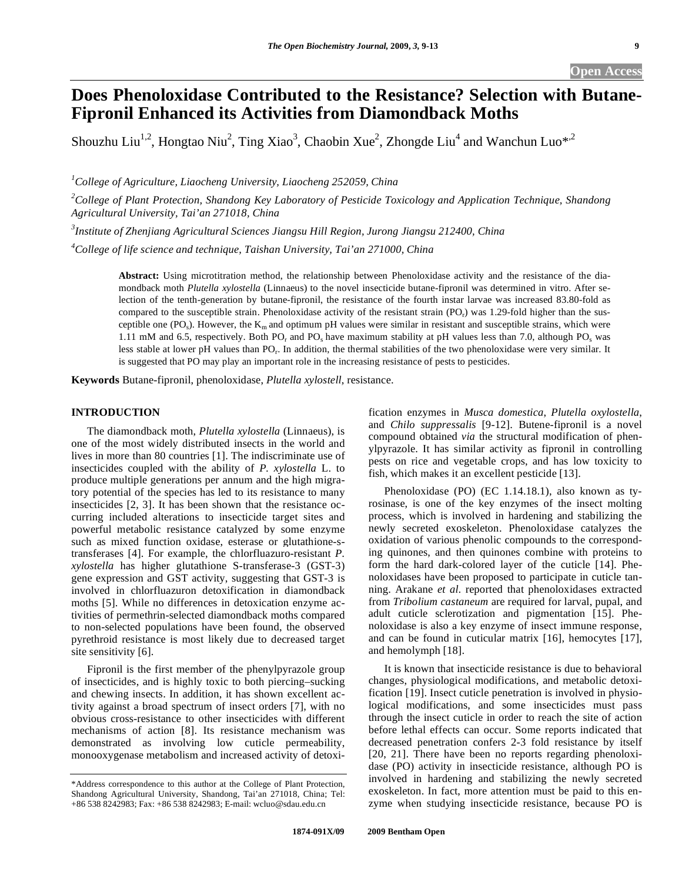# **Does Phenoloxidase Contributed to the Resistance? Selection with Butane-Fipronil Enhanced its Activities from Diamondback Moths**

Shouzhu Liu<sup>1,2</sup>, Hongtao Niu<sup>2</sup>, Ting Xiao<sup>3</sup>, Chaobin Xue<sup>2</sup>, Zhongde Liu<sup>4</sup> and Wanchun Luo<sup>\*,2</sup>

*1 College of Agriculture, Liaocheng University, Liaocheng 252059, China* 

<sup>2</sup>College of Plant Protection, Shandong Key Laboratory of Pesticide Toxicology and Application Technique, Shandong *Agricultural University, Tai'an 271018, China* 

*3 Institute of Zhenjiang Agricultural Sciences Jiangsu Hill Region, Jurong Jiangsu 212400, China* 

*4 College of life science and technique, Taishan University, Tai'an 271000, China* 

**Abstract:** Using microtitration method, the relationship between Phenoloxidase activity and the resistance of the diamondback moth *Plutella xylostella* (Linnaeus) to the novel insecticide butane-fipronil was determined in vitro. After selection of the tenth-generation by butane-fipronil, the resistance of the fourth instar larvae was increased 83.80-fold as compared to the susceptible strain. Phenoloxidase activity of the resistant strain  $(PO<sub>r</sub>)$  was 1.29-fold higher than the susceptible one (PO<sub>s</sub>). However, the  $K_m$  and optimum pH values were similar in resistant and susceptible strains, which were 1.11 mM and 6.5, respectively. Both  $PQ_r$  and  $PQ_s$  have maximum stability at pH values less than 7.0, although PO<sub>s</sub> was less stable at lower pH values than PO<sub>r</sub>. In addition, the thermal stabilities of the two phenoloxidase were very similar. It is suggested that PO may play an important role in the increasing resistance of pests to pesticides.

**Keywords** Butane-fipronil, phenoloxidase, *Plutella xylostell*, resistance.

# **INTRODUCTION**

 The diamondback moth, *Plutella xylostella* (Linnaeus), is one of the most widely distributed insects in the world and lives in more than 80 countries [1]. The indiscriminate use of insecticides coupled with the ability of *P. xylostella* L. to produce multiple generations per annum and the high migratory potential of the species has led to its resistance to many insecticides [2, 3]. It has been shown that the resistance occurring included alterations to insecticide target sites and powerful metabolic resistance catalyzed by some enzyme such as mixed function oxidase, esterase or glutathione-stransferases [4]. For example, the chlorfluazuro-resistant *P. xylostella* has higher glutathione S-transferase-3 (GST-3) gene expression and GST activity, suggesting that GST-3 is involved in chlorfluazuron detoxification in diamondback moths [5]. While no differences in detoxication enzyme activities of permethrin-selected diamondback moths compared to non-selected populations have been found, the observed pyrethroid resistance is most likely due to decreased target site sensitivity [6].

 Fipronil is the first member of the phenylpyrazole group of insecticides, and is highly toxic to both piercing–sucking and chewing insects. In addition, it has shown excellent activity against a broad spectrum of insect orders [7], with no obvious cross-resistance to other insecticides with different mechanisms of action [8]. Its resistance mechanism was demonstrated as involving low cuticle permeability, monooxygenase metabolism and increased activity of detoxification enzymes in *Musca domestica*, *Plutella oxylostella*, and *Chilo suppressalis* [9-12]. Butene-fipronil is a novel compound obtained *via* the structural modification of phenylpyrazole. It has similar activity as fipronil in controlling pests on rice and vegetable crops, and has low toxicity to fish, which makes it an excellent pesticide [13].

 Phenoloxidase (PO) (EC 1.14.18.1), also known as tyrosinase, is one of the key enzymes of the insect molting process, which is involved in hardening and stabilizing the newly secreted exoskeleton. Phenoloxidase catalyzes the oxidation of various phenolic compounds to the corresponding quinones, and then quinones combine with proteins to form the hard dark-colored layer of the cuticle [14]. Phenoloxidases have been proposed to participate in cuticle tanning. Arakane *et al.* reported that phenoloxidases extracted from *Tribolium castaneum* are required for larval, pupal, and adult cuticle sclerotization and pigmentation [15]. Phenoloxidase is also a key enzyme of insect immune response, and can be found in cuticular matrix [16], hemocytes [17], and hemolymph [18].

 It is known that insecticide resistance is due to behavioral changes, physiological modifications, and metabolic detoxification [19]. Insect cuticle penetration is involved in physiological modifications, and some insecticides must pass through the insect cuticle in order to reach the site of action before lethal effects can occur. Some reports indicated that decreased penetration confers 2-3 fold resistance by itself [20, 21]. There have been no reports regarding phenoloxidase (PO) activity in insecticide resistance, although PO is involved in hardening and stabilizing the newly secreted exoskeleton. In fact, more attention must be paid to this enzyme when studying insecticide resistance, because PO is

<sup>\*</sup>Address correspondence to this author at the College of Plant Protection, Shandong Agricultural University, Shandong, Tai'an 271018, China; Tel: +86 538 8242983; Fax: +86 538 8242983; E-mail: wcluo@sdau.edu.cn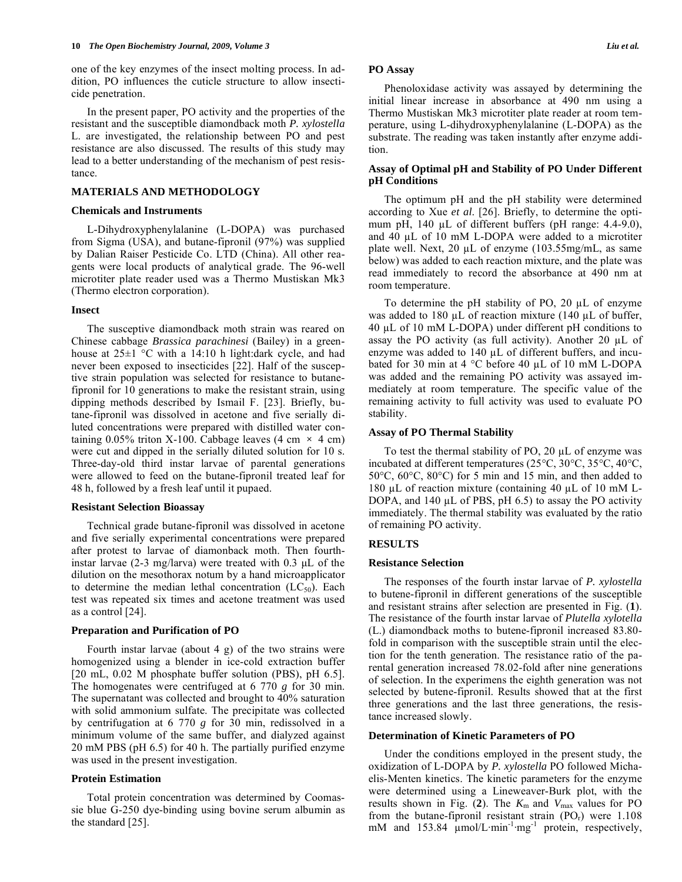one of the key enzymes of the insect molting process. In addition, PO influences the cuticle structure to allow insecticide penetration.

 In the present paper, PO activity and the properties of the resistant and the susceptible diamondback moth *P. xylostella* L. are investigated, the relationship between PO and pest resistance are also discussed. The results of this study may lead to a better understanding of the mechanism of pest resistance.

# **MATERIALS AND METHODOLOGY**

#### **Chemicals and Instruments**

 L-Dihydroxyphenylalanine (L-DOPA) was purchased from Sigma (USA), and butane-fipronil (97%) was supplied by Dalian Raiser Pesticide Co. LTD (China). All other reagents were local products of analytical grade. The 96-well microtiter plate reader used was a Thermo Mustiskan Mk3 (Thermo electron corporation).

#### **Insect**

 The susceptive diamondback moth strain was reared on Chinese cabbage *Brassica parachinesi* (Bailey) in a greenhouse at  $25\pm1$  °C with a 14:10 h light:dark cycle, and had never been exposed to insecticides [22]. Half of the susceptive strain population was selected for resistance to butanefipronil for 10 generations to make the resistant strain, using dipping methods described by Ismail F. [23]. Briefly, butane-fipronil was dissolved in acetone and five serially diluted concentrations were prepared with distilled water containing 0.05% triton X-100. Cabbage leaves (4 cm  $\times$  4 cm) were cut and dipped in the serially diluted solution for 10 s. Three-day-old third instar larvae of parental generations were allowed to feed on the butane-fipronil treated leaf for 48 h, followed by a fresh leaf until it pupaed.

#### **Resistant Selection Bioassay**

 Technical grade butane-fipronil was dissolved in acetone and five serially experimental concentrations were prepared after protest to larvae of diamonback moth. Then fourthinstar larvae (2-3 mg/larva) were treated with 0.3 μL of the dilution on the mesothorax notum by a hand microapplicator to determine the median lethal concentration  $(LC_{50})$ . Each test was repeated six times and acetone treatment was used as a control [24].

## **Preparation and Purification of PO**

 Fourth instar larvae (about 4 g) of the two strains were homogenized using a blender in ice-cold extraction buffer [20 mL, 0.02 M phosphate buffer solution (PBS), pH 6.5]. The homogenates were centrifuged at 6 770 *g* for 30 min. The supernatant was collected and brought to 40% saturation with solid ammonium sulfate. The precipitate was collected by centrifugation at 6 770 *g* for 30 min, redissolved in a minimum volume of the same buffer, and dialyzed against 20 mM PBS (pH 6.5) for 40 h. The partially purified enzyme was used in the present investigation.

# **Protein Estimation**

 Total protein concentration was determined by Coomassie blue G-250 dye-binding using bovine serum albumin as the standard [25].

## **PO Assay**

 Phenoloxidase activity was assayed by determining the initial linear increase in absorbance at 490 nm using a Thermo Mustiskan Mk3 microtiter plate reader at room temperature, using L-dihydroxyphenylalanine (L-DOPA) as the substrate. The reading was taken instantly after enzyme addition.

# **Assay of Optimal pH and Stability of PO Under Different pH Conditions**

 The optimum pH and the pH stability were determined according to Xue *et al*. [26]. Briefly, to determine the optimum pH,  $140 \mu L$  of different buffers (pH range:  $4.4-9.0$ ), and 40  $\mu$ L of 10 mM L-DOPA were added to a microtiter plate well. Next, 20  $\mu$ L of enzyme (103.55mg/mL, as same below) was added to each reaction mixture, and the plate was read immediately to record the absorbance at 490 nm at room temperature.

To determine the pH stability of PO, 20  $\mu$ L of enzyme was added to 180  $\mu$ L of reaction mixture (140  $\mu$ L of buffer,  $40 \mu L$  of 10 mM L-DOPA) under different pH conditions to assay the PO activity (as full activity). Another 20  $\mu$ L of enzyme was added to  $140 \mu L$  of different buffers, and incubated for 30 min at 4  $^{\circ}$ C before 40 µL of 10 mM L-DOPA was added and the remaining PO activity was assayed immediately at room temperature. The specific value of the remaining activity to full activity was used to evaluate PO stability.

#### **Assay of PO Thermal Stability**

To test the thermal stability of PO,  $20 \mu L$  of enzyme was incubated at different temperatures (25°C, 30°C, 35°C, 40°C, 50°C, 60°C, 80°C) for 5 min and 15 min, and then added to 180  $\mu$ L of reaction mixture (containing 40  $\mu$ L of 10 mM L-DOPA, and 140  $\mu$ L of PBS, pH 6.5) to assay the PO activity immediately. The thermal stability was evaluated by the ratio of remaining PO activity.

# **RESULTS**

#### **Resistance Selection**

 The responses of the fourth instar larvae of *P. xylostella* to butene-fipronil in different generations of the susceptible and resistant strains after selection are presented in Fig. (**1**). The resistance of the fourth instar larvae of *Plutella xylotella* (L.) diamondback moths to butene-fipronil increased 83.80 fold in comparison with the susceptible strain until the election for the tenth generation. The resistance ratio of the parental generation increased 78.02-fold after nine generations of selection. In the experimens the eighth generation was not selected by butene-fipronil. Results showed that at the first three generations and the last three generations, the resistance increased slowly.

# **Determination of Kinetic Parameters of PO**

 Under the conditions employed in the present study, the oxidization of L-DOPA by *P. xylostella* PO followed Michaelis-Menten kinetics. The kinetic parameters for the enzyme were determined using a Lineweaver-Burk plot, with the results shown in Fig. (2). The  $K<sub>m</sub>$  and  $V<sub>max</sub>$  values for PO from the butane-fipronil resistant strain  $(PO<sub>r</sub>)$  were 1.108 mM and  $153.84 \mu$ mol/L·min<sup>-1</sup>·mg<sup>-1</sup> protein, respectively,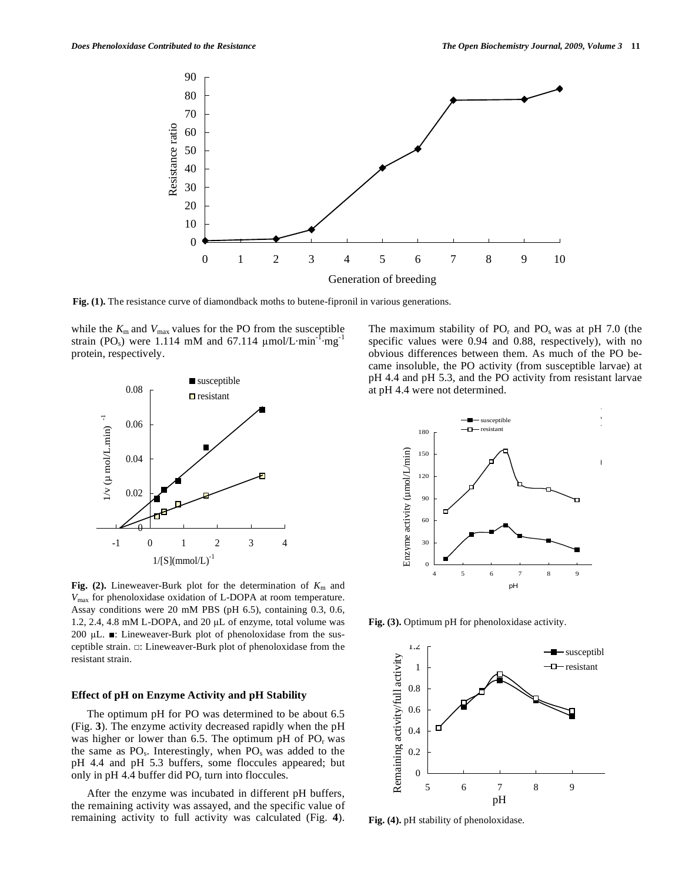

**Fig. (1).** The resistance curve of diamondback moths to butene-fipronil in various generations.

while the  $K_{\rm m}$  and  $V_{\rm max}$  values for the PO from the susceptible strain (PO<sub>s</sub>) were 1.114 mM and 67.114  $\mu$ mol/L·min<sup>-1</sup>·mg<sup>-1</sup> protein, respectively.



Fig. (2). Lineweaver-Burk plot for the determination of  $K<sub>m</sub>$  and *V*max for phenoloxidase oxidation of L-DOPA at room temperature. Assay conditions were 20 mM PBS (pH 6.5), containing 0.3, 0.6, 1.2, 2.4, 4.8 mM L-DOPA, and 20  $\mu$ L of enzyme, total volume was 200  $\mu$ L.  $\blacksquare$ : Lineweaver-Burk plot of phenoloxidase from the susceptible strain.  $\Box$ : Lineweaver-Burk plot of phenoloxidase from the resistant strain.

# **Effect of pH on Enzyme Activity and pH Stability**

 The optimum pH for PO was determined to be about 6.5 (Fig. **3**). The enzyme activity decreased rapidly when the pH was higher or lower than 6.5. The optimum pH of  $PO<sub>r</sub>$  was the same as  $PO_s$ . Interestingly, when  $PO_s$  was added to the pH 4.4 and pH 5.3 buffers, some floccules appeared; but only in pH 4.4 buffer did  $PO<sub>r</sub>$  turn into floccules.

 After the enzyme was incubated in different pH buffers, the remaining activity was assayed, and the specific value of remaining activity to full activity was calculated (Fig. **4**). The maximum stability of  $PO<sub>r</sub>$  and  $PO<sub>s</sub>$  was at pH 7.0 (the specific values were 0.94 and 0.88, respectively), with no obvious differences between them. As much of the PO became insoluble, the PO activity (from susceptible larvae) at pH 4.4 and pH 5.3, and the PO activity from resistant larvae at pH 4.4 were not determined.



**Fig. (3).** Optimum pH for phenoloxidase activity.



**Fig. (4).** pH stability of phenoloxidase.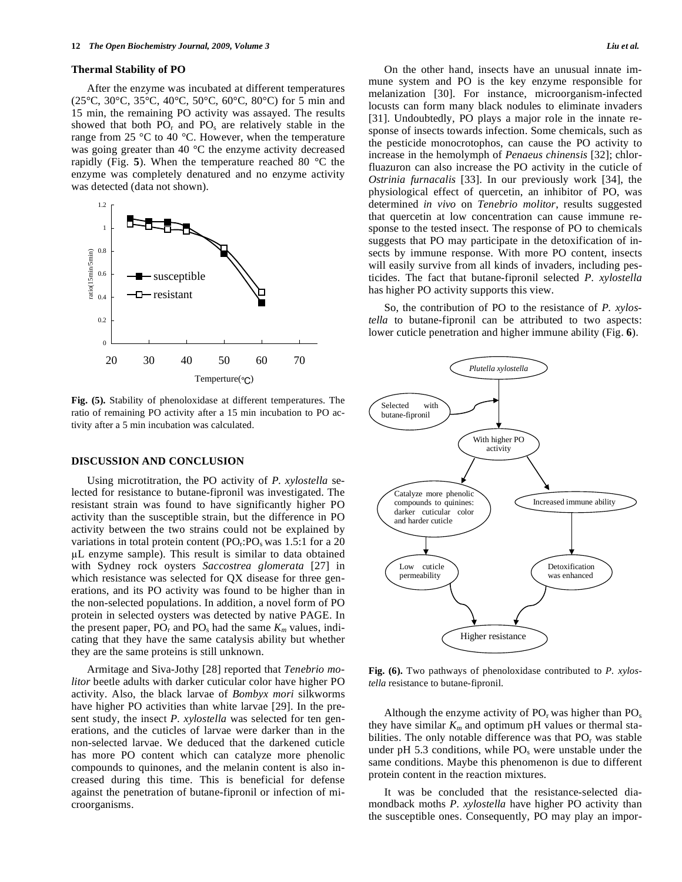#### **Thermal Stability of PO**

 After the enzyme was incubated at different temperatures (25°C, 30°C, 35°C, 40°C, 50°C, 60°C, 80°C) for 5 min and 15 min, the remaining PO activity was assayed. The results showed that both  $PO<sub>r</sub>$  and  $PO<sub>s</sub>$  are relatively stable in the range from 25 °C to 40 °C. However, when the temperature was going greater than 40 °C the enzyme activity decreased rapidly (Fig. **5**). When the temperature reached 80 °C the enzyme was completely denatured and no enzyme activity was detected (data not shown).



**Fig. (5).** Stability of phenoloxidase at different temperatures. The ratio of remaining PO activity after a 15 min incubation to PO activity after a 5 min incubation was calculated.

## **DISCUSSION AND CONCLUSION**

 Using microtitration, the PO activity of *P. xylostella* selected for resistance to butane-fipronil was investigated. The resistant strain was found to have significantly higher PO activity than the susceptible strain, but the difference in PO activity between the two strains could not be explained by variations in total protein content  $(PO<sub>r</sub>:PO<sub>s</sub> was 1.5:1$  for a 20 L enzyme sample). This result is similar to data obtained with Sydney rock oysters *Saccostrea glomerata* [27] in which resistance was selected for QX disease for three generations, and its PO activity was found to be higher than in the non-selected populations. In addition, a novel form of PO protein in selected oysters was detected by native PAGE. In the present paper,  $PO_r$  and  $PO_s$  had the same  $K_m$  values, indicating that they have the same catalysis ability but whether they are the same proteins is still unknown.

 Armitage and Siva-Jothy [28] reported that *Tenebrio molitor* beetle adults with darker cuticular color have higher PO activity. Also, the black larvae of *Bombyx mori* silkworms have higher PO activities than white larvae [29]. In the present study, the insect *P. xylostella* was selected for ten generations, and the cuticles of larvae were darker than in the non-selected larvae. We deduced that the darkened cuticle has more PO content which can catalyze more phenolic compounds to quinones, and the melanin content is also increased during this time. This is beneficial for defense against the penetration of butane-fipronil or infection of microorganisms.

 On the other hand, insects have an unusual innate immune system and PO is the key enzyme responsible for melanization [30]. For instance, microorganism-infected locusts can form many black nodules to eliminate invaders [31]. Undoubtedly, PO plays a major role in the innate response of insects towards infection. Some chemicals, such as the pesticide monocrotophos, can cause the PO activity to increase in the hemolymph of *Penaeus chinensis* [32]; chlorfluazuron can also increase the PO activity in the cuticle of *Ostrinia furnacalis* [33]. In our previously work [34], the physiological effect of quercetin, an inhibitor of PO, was determined *in vivo* on *Tenebrio molitor*, results suggested that quercetin at low concentration can cause immune response to the tested insect. The response of PO to chemicals suggests that PO may participate in the detoxification of insects by immune response. With more PO content, insects will easily survive from all kinds of invaders, including pesticides. The fact that butane-fipronil selected *P. xylostella* has higher PO activity supports this view.

 So, the contribution of PO to the resistance of *P. xylostella* to butane-fipronil can be attributed to two aspects: lower cuticle penetration and higher immune ability (Fig. **6**).



**Fig. (6).** Two pathways of phenoloxidase contributed to *P. xylostella* resistance to butane-fipronil.

Although the enzyme activity of  $PO<sub>r</sub>$  was higher than  $PO<sub>s</sub>$ they have similar  $K_m$  and optimum pH values or thermal stabilities. The only notable difference was that  $PO<sub>r</sub>$  was stable under pH 5.3 conditions, while  $PO_s$  were unstable under the same conditions. Maybe this phenomenon is due to different protein content in the reaction mixtures.

 It was be concluded that the resistance-selected diamondback moths *P. xylostella* have higher PO activity than the susceptible ones. Consequently, PO may play an impor